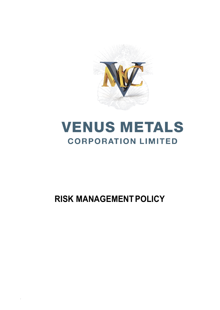

# **VENUS METALS CORPORATION LIMITED**

## **RISK MANAGEMENTPOLICY**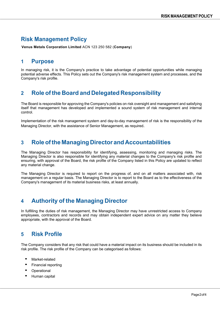### **Risk Management Policy**

**Venus Metals Corporation Limited** ACN 123 250 582 (**Company**)

#### **1 Purpose**

In managing risk, it is the Company's practice to take advantage of potential opportunities while managing potential adverse effects. This Policy sets out the Company's risk management system and processes, and the Company's risk profile.

#### **2 Role ofthe Board and Delegated Responsibility**

The Board is responsible for approving the Company's policies on risk oversight and management and satisfying itself that management has developed and implemented a sound system of risk management and internal control.

Implementation of the risk management system and day-to-day management of risk is the responsibility of the Managing Director, with the assistance of Senior Management, as required.

#### **3 Roleofthe Managing Director and Accountabilities**

The Managing Director has responsibility for identifying, assessing, monitoring and managing risks. The Managing Director is also responsible for identifying any material changes to the Company's risk profile and ensuring, with approval of the Board, the risk profile of the Company listed in this Policy are updated to reflect any material change.

The Managing Director is required to report on the progress of, and on all matters associated with, risk management on a regular basis. The Managing Director is to report to the Board as to the effectiveness of the Company's management of its material business risks, at least annually.

## **4 Authority of the Managing Director**

In fulfilling the duties of risk management, the Managing Director may have unrestricted access to Company employees, contractors and records and may obtain independent expert advice on any matter they believe appropriate, with the approval of the Board.

#### **5 Risk Profile**

The Company considers that any risk that could have a material impact on its business should be included in its risk profile. The risk profile of the Company can be categorised as follows:

- Market-related
- Financial reporting
- **Operational**
- Human capital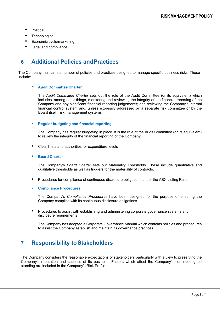- Political
- **Technological**
- Economic cycle/marketing
- Legal and compliance.

#### **6 Additional Policies andPractices**

The Company maintains a number of policies and practices designed to manage specific business risks. These include:

#### • **Audit Committee Charter**

The *Audit Committee Charter* sets out the role of the Audit Committee (or its equivalent) which includes, among other things, monitoring and reviewing the integrity of the financial reporting of the Company and any significant financial reporting judgements; and reviewing the Company's internal financial control system and, unless expressly addressed by a separate risk committee or by the Board itself, risk management systems.

#### • **Regular budgeting and financial reporting**

The Company has regular budgeting in place. It is the role of the Audit Committee (or its equivalent) to review the integrity of the financial reporting of the Company.

- Clear limits and authorities for expenditure levels
- **Board Charter**

The Company's *Board Charter* sets out Materiality Thresholds. These include quantitative and qualitative thresholds as well as triggers for the materiality of contracts.

- Procedures for compliance of continuous disclosure obligations under the ASX Listing Rules
- **Compliance Procedures**

The Company's *Compliance Procedures* have been designed for the purpose of ensuring the Company complies with its continuous disclosure obligations.

• Procedures to assist with establishing and administering corporate governance systems and disclosure requirements

The Company has adopted a Corporate Governance Manual which contains policies and procedures to assist the Company establish and maintain its governance practices.

#### **7** Responsibility to Stakeholders

The Company considers the reasonable expectations of stakeholders particularly with a view to preserving the Company's reputation and success of its business. Factors which affect the Company's continued good standing are included in the Company's Risk Profile.